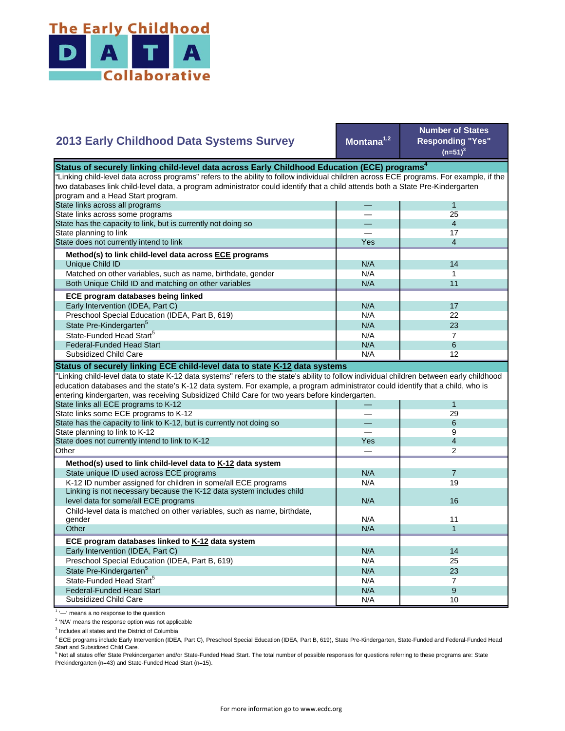

## **Montana1,2 Number of States Responding "Yes"**   $(n=51)^{3}$ — 1 — 25 — 4 — 17 Yes 1 4  $N/A$  14  $N/A$  1 N/A 11  $N/A$  17 N/A 22  $N/A$  23  $N/A$  7 State Pre-Kindergarten<sup>5</sup> State-Funded Head Start<sup>5</sup> Matched on other variables, such as name, birthdate, gender Both Unique Child ID and matching on other variables  **ECE program databases being linked**  Early Intervention (IDEA, Part C) Preschool Special Education (IDEA, Part B, 619) State has the capacity to link, but is currently not doing so State planning to link State does not currently intend to link  **Method(s) to link child-level data across ECE programs** Unique Child ID **2013 Early Childhood Data Systems Survey** Status of securely linking child-level data across Early Childhood Education (ECE) programs<sup>4</sup> "Linking child-level data across programs" refers to the ability to follow individual children across ECE programs. For example, if the two databases link child-level data, a program administrator could identify that a child attends both a State Pre-Kindergarten program and a Head Start program. State links across all programs State links across some programs  $N/A$  6  $N/A$  12 — 1 — 29 — 6 — 9 Yes 1 4 — 2  $N/A$  7 N/A 19 N/A N/A 11  $N/A$  1 N/A 14 N/A 25 N/A 23  $N/A$  7  $N/A$  9 N/A 10 Preschool Special Education (IDEA, Part B, 619) State Pre-Kindergarten<sup>5</sup> State-Funded Head Start<sup>5</sup> Federal-Funded Head Start Subsidized Child Care Child-level data is matched on other variables, such as name, birthdate, gender **Other ECE program databases linked to K-12 data system** Early Intervention (IDEA, Part C) **Other Method(s) used to link child-level data to K-12 data system** State unique ID used across ECE programs K-12 ID number assigned for children in some/all ECE programs Linking is not necessary because the K-12 data system includes child level data for some/all ECE programs 16 and 16 and 16 and 16 and 16 and 16 and 16 and 16 and 16 and 16 and 16  $\mu$ "Linking child-level data to state K-12 data systems" refers to the state's ability to follow individual children between early childhood education databases and the state's K-12 data system. For example, a program administrator could identify that a child, who is entering kindergarten, was receiving Subsidized Child Care for two years before kindergarten. State links all ECE programs to K-12 State links some ECE programs to K-12 State has the capacity to link to K-12, but is currently not doing so State planning to link to K-12 State does not currently intend to link to K-12 Federal-Funded Head Start Subsidized Child Care **Status of securely linking ECE child-level data to state K-12 data systems**

<sup>1</sup> '-' means a no response to the question

<sup>2</sup> 'N/A' means the response option was not applicable

<sup>3</sup> Includes all states and the District of Columbia

<sup>4</sup> ECE programs include Early Intervention (IDEA, Part C), Preschool Special Education (IDEA, Part B, 619), State Pre-Kindergarten, State-Funded and Federal-Funded Head Start and Subsidized Child Care.

<sup>5</sup> Not all states offer State Prekindergarten and/or State-Funded Head Start. The total number of possible responses for questions referring to these programs are: State Prekindergarten (n=43) and State-Funded Head Start (n=15).